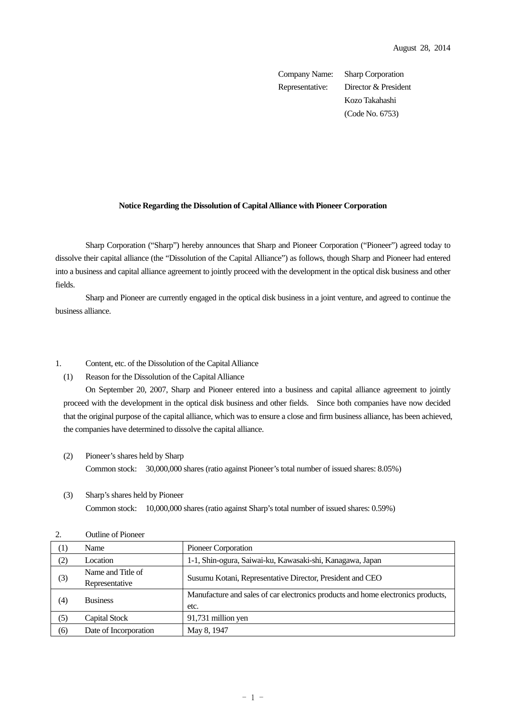Company Name: Sharp Corporation Representative: Director & President Kozo Takahashi (Code No. 6753)

## **Notice Regarding the Dissolution of Capital Alliance with Pioneer Corporation**

 Sharp Corporation ("Sharp") hereby announces that Sharp and Pioneer Corporation ("Pioneer") agreed today to dissolve their capital alliance (the "Dissolution of the Capital Alliance") as follows, though Sharp and Pioneer had entered into a business and capital alliance agreement to jointly proceed with the development in the optical disk business and other fields.

Sharp and Pioneer are currently engaged in the optical disk business in a joint venture, and agreed to continue the business alliance.

## 1. Content, etc. of the Dissolution of the Capital Alliance

(1) Reason for the Dissolution of the Capital Alliance

On September 20, 2007, Sharp and Pioneer entered into a business and capital alliance agreement to jointly proceed with the development in the optical disk business and other fields. Since both companies have now decided that the original purpose of the capital alliance, which was to ensure a close and firm business alliance, has been achieved, the companies have determined to dissolve the capital alliance.

- (2) Pioneer's shares held by Sharp Common stock: 30,000,000 shares (ratio against Pioneer's total number of issued shares: 8.05%)
- (3) Sharp's shares held by Pioneer Common stock: 10,000,000 shares (ratio against Sharp's total number of issued shares: 0.59%)

| ∠.  | OUUIN OI 1 IOIKAT                   |                                                                                          |  |
|-----|-------------------------------------|------------------------------------------------------------------------------------------|--|
| (1) | Name                                | Pioneer Corporation                                                                      |  |
| (2) | Location                            | 1-1, Shin-ogura, Saiwai-ku, Kawasaki-shi, Kanagawa, Japan                                |  |
| (3) | Name and Title of<br>Representative | Susumu Kotani, Representative Director, President and CEO                                |  |
| (4) | <b>Business</b>                     | Manufacture and sales of car electronics products and home electronics products,<br>etc. |  |
| (5) | Capital Stock                       | 91,731 million yen                                                                       |  |
| (6) | Date of Incorporation               | May 8, 1947                                                                              |  |

2. Outline of Pioneer